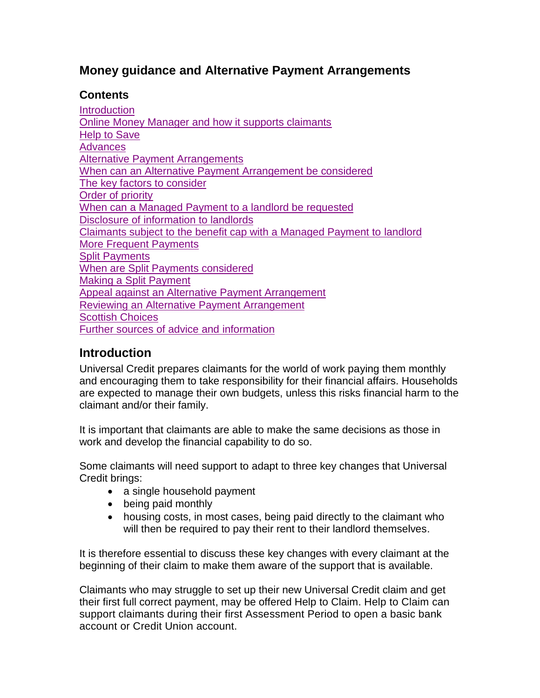#### **Money guidance and Alternative Payment Arrangements**

#### **Contents**

**[Introduction](#page-0-0)** [Online Money Manager and how it supports claimants](#page-2-0) [Help to Save](#page-3-0) **[Advances](#page-3-1)** [Alternative Payment Arrangements](#page-3-2) [When can an Alternative Payment Arrangement be considered](#page-3-3) [The key factors to consider](#page-4-0) [Order of priority](#page-5-0) [When can a Managed Payment to a landlord be requested](#page-5-1) [Disclosure of information to landlords](#page-5-2) [Claimants subject to the benefit cap with a Managed Payment to landlord](#page-6-0) [More Frequent Payments](#page-6-1) [Split Payments](#page-6-2) [When are Split Payments considered](#page-7-0) [Making a Split Payment](#page-7-1) [Appeal against an Alternative Payment Arrangement](#page-7-2) [Reviewing an Alternative Payment Arrangement](#page-7-3) [Scottish Choices](#page-8-0) [Further sources of advice and information](#page-10-0)

### <span id="page-0-0"></span>**Introduction**

Universal Credit prepares claimants for the world of work paying them monthly and encouraging them to take responsibility for their financial affairs. Households are expected to manage their own budgets, unless this risks financial harm to the claimant and/or their family.

It is important that claimants are able to make the same decisions as those in work and develop the financial capability to do so.

Some claimants will need support to adapt to three key changes that Universal Credit brings:

- a single household payment
- being paid monthly
- housing costs, in most cases, being paid directly to the claimant who will then be required to pay their rent to their landlord themselves.

It is therefore essential to discuss these key changes with every claimant at the beginning of their claim to make them aware of the support that is available.

Claimants who may struggle to set up their new Universal Credit claim and get their first full correct payment, may be offered Help to Claim. Help to Claim can support claimants during their first Assessment Period to open a basic bank account or Credit Union account.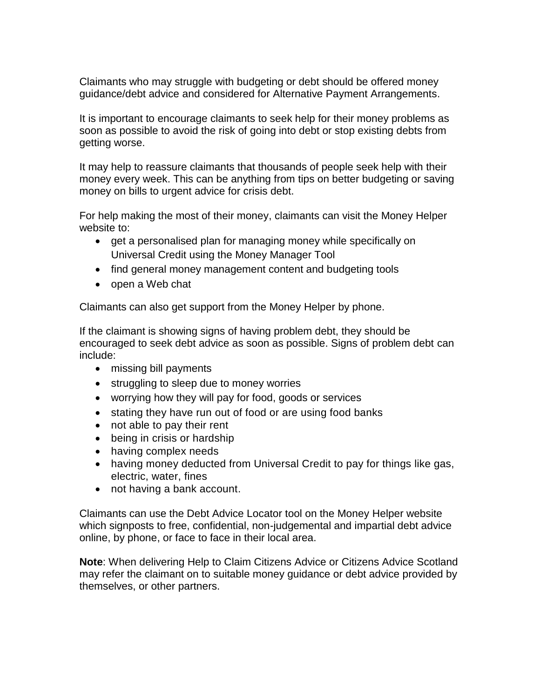Claimants who may struggle with budgeting or debt should be offered money guidance/debt advice and considered for Alternative Payment Arrangements.

It is important to encourage claimants to seek help for their money problems as soon as possible to avoid the risk of going into debt or stop existing debts from getting worse.

It may help to reassure claimants that thousands of people seek help with their money every week. This can be anything from tips on better budgeting or saving money on bills to urgent advice for crisis debt.

For help making the most of their money, claimants can visit the Money Helper website to:

- get a personalised plan for managing money while specifically on Universal Credit using the Money Manager Tool
- find general money management content and budgeting tools
- open a Web chat

Claimants can also get support from the Money Helper by phone.

If the claimant is showing signs of having problem debt, they should be encouraged to seek debt advice as soon as possible. Signs of problem debt can include:

- missing bill payments
- struggling to sleep due to money worries
- worrying how they will pay for food, goods or services
- stating they have run out of food or are using food banks
- not able to pay their rent
- being in crisis or hardship
- having complex needs
- having money deducted from Universal Credit to pay for things like gas, electric, water, fines
- not having a bank account.

Claimants can use the Debt Advice Locator tool on the Money Helper website which signposts to free, confidential, non-judgemental and impartial debt advice online, by phone, or face to face in their local area.

**Note**: When delivering Help to Claim Citizens Advice or Citizens Advice Scotland may refer the claimant on to suitable money guidance or debt advice provided by themselves, or other partners.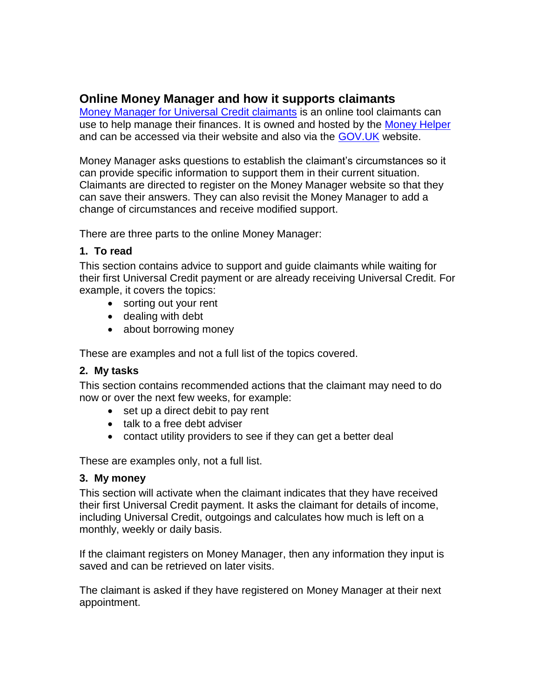### <span id="page-2-0"></span>**Online Money Manager and how it supports claimants**

[Money Manager for Universal Credit claimants](https://www.moneyadviceservice.org.uk/en/tools/money-manager) is an online tool claimants can use to help manage their finances. It is owned and hosted by the [Money Helper](https://www.moneyadviceservice.org.uk/en) and can be accessed via their website and also via the GOV. UK website.

Money Manager asks questions to establish the claimant's circumstances so it can provide specific information to support them in their current situation. Claimants are directed to register on the Money Manager website so that they can save their answers. They can also revisit the Money Manager to add a change of circumstances and receive modified support.

There are three parts to the online Money Manager:

#### **1. To read**

This section contains advice to support and guide claimants while waiting for their first Universal Credit payment or are already receiving Universal Credit. For example, it covers the topics:

- sorting out your rent
- dealing with debt
- about borrowing money

These are examples and not a full list of the topics covered.

#### **2. My tasks**

This section contains recommended actions that the claimant may need to do now or over the next few weeks, for example:

- $\bullet$  set up a direct debit to pay rent
- talk to a free debt adviser
- contact utility providers to see if they can get a better deal

These are examples only, not a full list.

#### **3. My money**

This section will activate when the claimant indicates that they have received their first Universal Credit payment. It asks the claimant for details of income, including Universal Credit, outgoings and calculates how much is left on a monthly, weekly or daily basis.

If the claimant registers on Money Manager, then any information they input is saved and can be retrieved on later visits.

The claimant is asked if they have registered on Money Manager at their next appointment.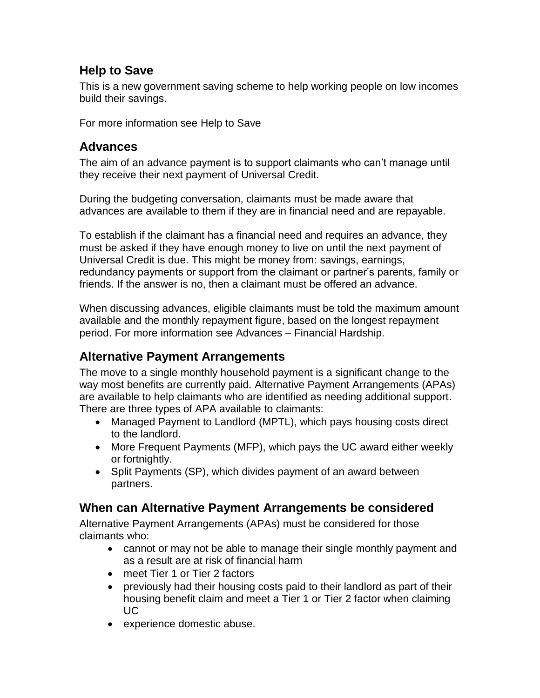### <span id="page-3-0"></span>**Help to Save**

This is a new government saving scheme to help working people on low incomes build their savings.

For more information see Help to Save

### <span id="page-3-1"></span>**Advances**

The aim of an advance payment is to support claimants who can't manage until they receive their next payment of Universal Credit.

During the budgeting conversation, claimants must be made aware that advances are available to them if they are in financial need and are repayable.

To establish if the claimant has a financial need and requires an advance, they must be asked if they have enough money to live on until the next payment of Universal Credit is due. This might be money from: savings, earnings, redundancy payments or support from the claimant or partner's parents, family or friends. If the answer is no, then a claimant must be offered an advance.

When discussing advances, eligible claimants must be told the maximum amount available and the monthly repayment figure, based on the longest repayment period. For more information see Advances – Financial Hardship.

## <span id="page-3-2"></span>**Alternative Payment Arrangements**

The move to a single monthly household payment is a significant change to the way most benefits are currently paid. Alternative Payment Arrangements (APAs) are available to help claimants who are identified as needing additional support. There are three types of APA available to claimants:

- Managed Payment to Landlord (MPTL), which pays housing costs direct to the landlord.
- More Frequent Payments (MFP), which pays the UC award either weekly or fortnightly.
- Split Payments (SP), which divides payment of an award between partners.

## <span id="page-3-3"></span>**When can Alternative Payment Arrangements be considered**

Alternative Payment Arrangements (APAs) must be considered for those claimants who:

- cannot or may not be able to manage their single monthly payment and as a result are at risk of financial harm
- meet Tier 1 or Tier 2 factors
- previously had their housing costs paid to their landlord as part of their housing benefit claim and meet a Tier 1 or Tier 2 factor when claiming UC
- experience domestic abuse.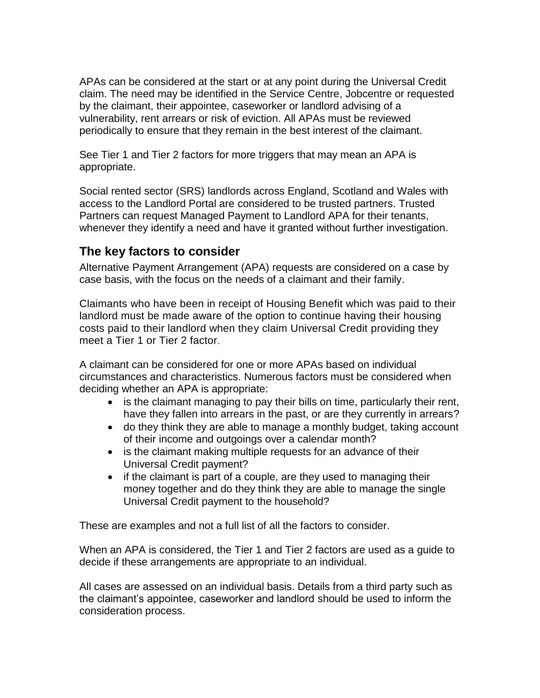APAs can be considered at the start or at any point during the Universal Credit claim. The need may be identified in the Service Centre, Jobcentre or requested by the claimant, their appointee, caseworker or landlord advising of a vulnerability, rent arrears or risk of eviction. All APAs must be reviewed periodically to ensure that they remain in the best interest of the claimant.

See Tier 1 and Tier 2 factors for more triggers that may mean an APA is appropriate.

Social rented sector (SRS) landlords across England, Scotland and Wales with access to the Landlord Portal are considered to be trusted partners. Trusted Partners can request Managed Payment to Landlord APA for their tenants, whenever they identify a need and have it granted without further investigation.

### <span id="page-4-0"></span>**The key factors to consider**

Alternative Payment Arrangement (APA) requests are considered on a case by case basis, with the focus on the needs of a claimant and their family.

Claimants who have been in receipt of Housing Benefit which was paid to their landlord must be made aware of the option to continue having their housing costs paid to their landlord when they claim Universal Credit providing they meet a Tier 1 or Tier 2 factor.

A claimant can be considered for one or more APAs based on individual circumstances and characteristics. Numerous factors must be considered when deciding whether an APA is appropriate:

- is the claimant managing to pay their bills on time, particularly their rent, have they fallen into arrears in the past, or are they currently in arrears?
- do they think they are able to manage a monthly budget, taking account of their income and outgoings over a calendar month?
- is the claimant making multiple requests for an advance of their Universal Credit payment?
- $\bullet$  if the claimant is part of a couple, are they used to managing their money together and do they think they are able to manage the single Universal Credit payment to the household?

These are examples and not a full list of all the factors to consider.

When an APA is considered, the Tier 1 and Tier 2 factors are used as a guide to decide if these arrangements are appropriate to an individual.

All cases are assessed on an individual basis. Details from a third party such as the claimant's appointee, caseworker and landlord should be used to inform the consideration process.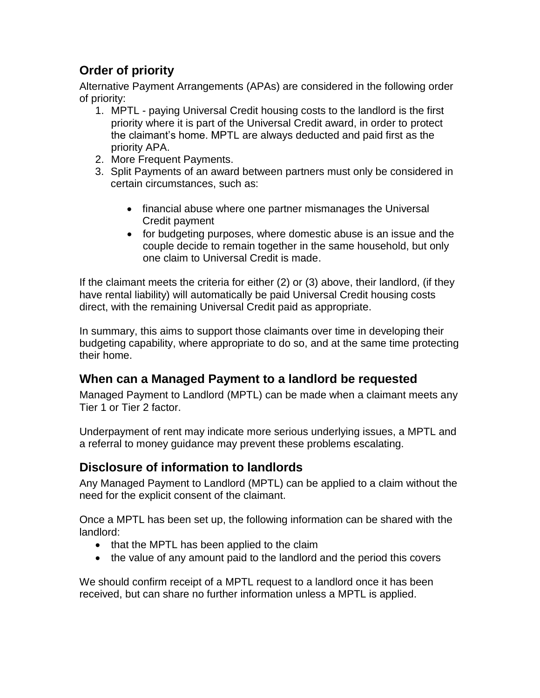# <span id="page-5-0"></span>**Order of priority**

Alternative Payment Arrangements (APAs) are considered in the following order of priority:

- 1. MPTL paying Universal Credit housing costs to the landlord is the first priority where it is part of the Universal Credit award, in order to protect the claimant's home. MPTL are always deducted and paid first as the priority APA.
- 2. More Frequent Payments.
- 3. Split Payments of an award between partners must only be considered in certain circumstances, such as:
	- financial abuse where one partner mismanages the Universal Credit payment
	- for budgeting purposes, where domestic abuse is an issue and the couple decide to remain together in the same household, but only one claim to Universal Credit is made.

If the claimant meets the criteria for either (2) or (3) above, their landlord, (if they have rental liability) will automatically be paid Universal Credit housing costs direct, with the remaining Universal Credit paid as appropriate.

In summary, this aims to support those claimants over time in developing their budgeting capability, where appropriate to do so, and at the same time protecting their home.

## <span id="page-5-1"></span>**When can a Managed Payment to a landlord be requested**

Managed Payment to Landlord (MPTL) can be made when a claimant meets any Tier 1 or Tier 2 factor.

Underpayment of rent may indicate more serious underlying issues, a MPTL and a referral to money guidance may prevent these problems escalating.

## <span id="page-5-2"></span>**Disclosure of information to landlords**

Any Managed Payment to Landlord (MPTL) can be applied to a claim without the need for the explicit consent of the claimant.

Once a MPTL has been set up, the following information can be shared with the landlord:

- that the MPTL has been applied to the claim
- the value of any amount paid to the landlord and the period this covers

We should confirm receipt of a MPTL request to a landlord once it has been received, but can share no further information unless a MPTL is applied.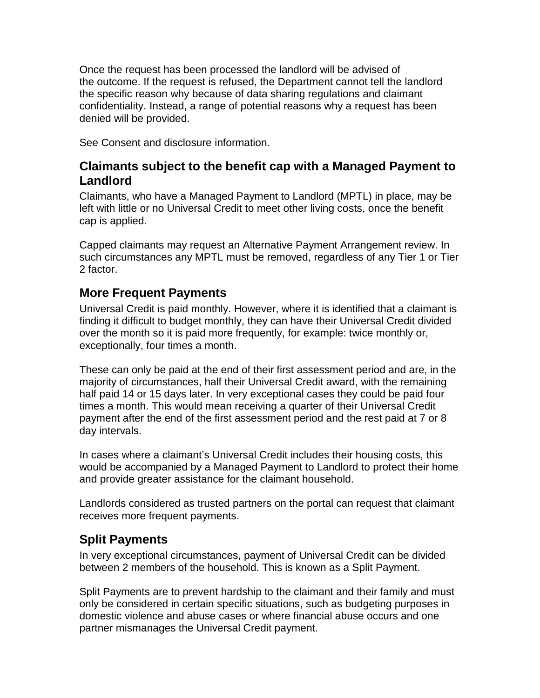Once the request has been processed the landlord will be advised of the outcome. If the request is refused, the Department cannot tell the landlord the specific reason why because of data sharing regulations and claimant confidentiality. Instead, a range of potential reasons why a request has been denied will be provided.

See Consent and disclosure information.

#### <span id="page-6-0"></span>**Claimants subject to the benefit cap with a Managed Payment to Landlord**

Claimants, who have a Managed Payment to Landlord (MPTL) in place, may be left with little or no Universal Credit to meet other living costs, once the benefit cap is applied.

Capped claimants may request an Alternative Payment Arrangement review. In such circumstances any MPTL must be removed, regardless of any Tier 1 or Tier 2 factor.

#### <span id="page-6-1"></span>**More Frequent Payments**

Universal Credit is paid monthly. However, where it is identified that a claimant is finding it difficult to budget monthly, they can have their Universal Credit divided over the month so it is paid more frequently, for example: twice monthly or, exceptionally, four times a month.

These can only be paid at the end of their first assessment period and are, in the majority of circumstances, half their Universal Credit award, with the remaining half paid 14 or 15 days later. In very exceptional cases they could be paid four times a month. This would mean receiving a quarter of their Universal Credit payment after the end of the first assessment period and the rest paid at 7 or 8 day intervals.

In cases where a claimant's Universal Credit includes their housing costs, this would be accompanied by a Managed Payment to Landlord to protect their home and provide greater assistance for the claimant household.

Landlords considered as trusted partners on the portal can request that claimant receives more frequent payments.

#### <span id="page-6-2"></span>**Split Payments**

In very exceptional circumstances, payment of Universal Credit can be divided between 2 members of the household. This is known as a Split Payment.

Split Payments are to prevent hardship to the claimant and their family and must only be considered in certain specific situations, such as budgeting purposes in domestic violence and abuse cases or where financial abuse occurs and one partner mismanages the Universal Credit payment.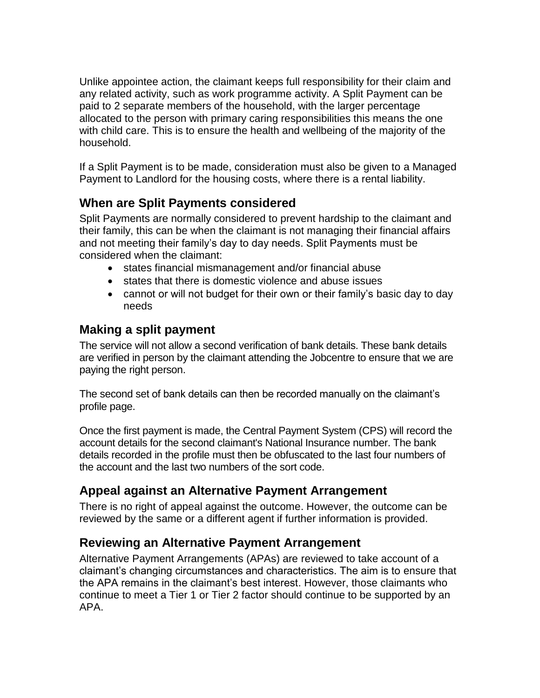Unlike appointee action, the claimant keeps full responsibility for their claim and any related activity, such as work programme activity. A Split Payment can be paid to 2 separate members of the household, with the larger percentage allocated to the person with primary caring responsibilities this means the one with child care. This is to ensure the health and wellbeing of the majority of the household.

If a Split Payment is to be made, consideration must also be given to a Managed Payment to Landlord for the housing costs, where there is a rental liability.

## <span id="page-7-0"></span>**When are Split Payments considered**

Split Payments are normally considered to prevent hardship to the claimant and their family, this can be when the claimant is not managing their financial affairs and not meeting their family's day to day needs. Split Payments must be considered when the claimant:

- states financial mismanagement and/or financial abuse
- states that there is domestic violence and abuse issues
- cannot or will not budget for their own or their family's basic day to day needs

### <span id="page-7-1"></span>**Making a split payment**

The service will not allow a second verification of bank details. These bank details are verified in person by the claimant attending the Jobcentre to ensure that we are paying the right person.

The second set of bank details can then be recorded manually on the claimant's profile page.

Once the first payment is made, the Central Payment System (CPS) will record the account details for the second claimant's National Insurance number. The bank details recorded in the profile must then be obfuscated to the last four numbers of the account and the last two numbers of the sort code.

# <span id="page-7-2"></span>**Appeal against an Alternative Payment Arrangement**

There is no right of appeal against the outcome. However, the outcome can be reviewed by the same or a different agent if further information is provided.

## <span id="page-7-3"></span>**Reviewing an Alternative Payment Arrangement**

Alternative Payment Arrangements (APAs) are reviewed to take account of a claimant's changing circumstances and characteristics. The aim is to ensure that the APA remains in the claimant's best interest. However, those claimants who continue to meet a Tier 1 or Tier 2 factor should continue to be supported by an APA.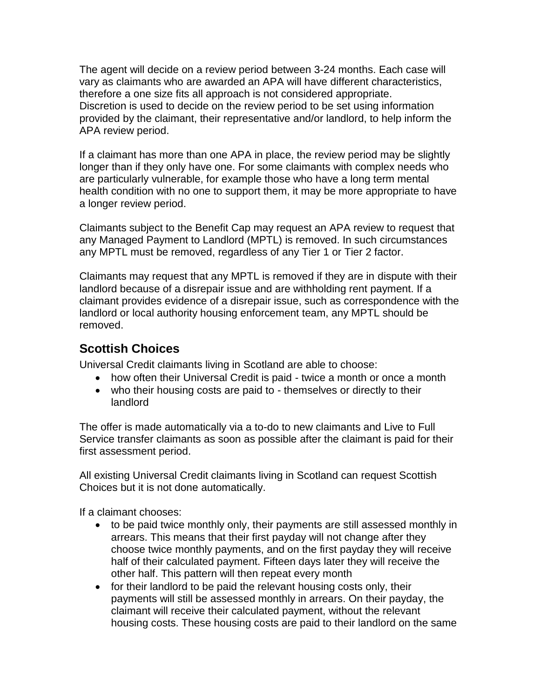The agent will decide on a review period between 3-24 months. Each case will vary as claimants who are awarded an APA will have different characteristics, therefore a one size fits all approach is not considered appropriate. Discretion is used to decide on the review period to be set using information provided by the claimant, their representative and/or landlord, to help inform the APA review period.

If a claimant has more than one APA in place, the review period may be slightly longer than if they only have one. For some claimants with complex needs who are particularly vulnerable, for example those who have a long term mental health condition with no one to support them, it may be more appropriate to have a longer review period.

Claimants subject to the Benefit Cap may request an APA review to request that any Managed Payment to Landlord (MPTL) is removed. In such circumstances any MPTL must be removed, regardless of any Tier 1 or Tier 2 factor.

Claimants may request that any MPTL is removed if they are in dispute with their landlord because of a disrepair issue and are withholding rent payment. If a claimant provides evidence of a disrepair issue, such as correspondence with the landlord or local authority housing enforcement team, any MPTL should be removed.

#### <span id="page-8-0"></span>**Scottish Choices**

Universal Credit claimants living in Scotland are able to choose:

- how often their Universal Credit is paid twice a month or once a month
- who their housing costs are paid to themselves or directly to their landlord

The offer is made automatically via a to-do to new claimants and Live to Full Service transfer claimants as soon as possible after the claimant is paid for their first assessment period.

All existing Universal Credit claimants living in Scotland can request Scottish Choices but it is not done automatically.

If a claimant chooses:

- to be paid twice monthly only, their payments are still assessed monthly in arrears. This means that their first payday will not change after they choose twice monthly payments, and on the first payday they will receive half of their calculated payment. Fifteen days later they will receive the other half. This pattern will then repeat every month
- for their landlord to be paid the relevant housing costs only, their payments will still be assessed monthly in arrears. On their payday, the claimant will receive their calculated payment, without the relevant housing costs. These housing costs are paid to their landlord on the same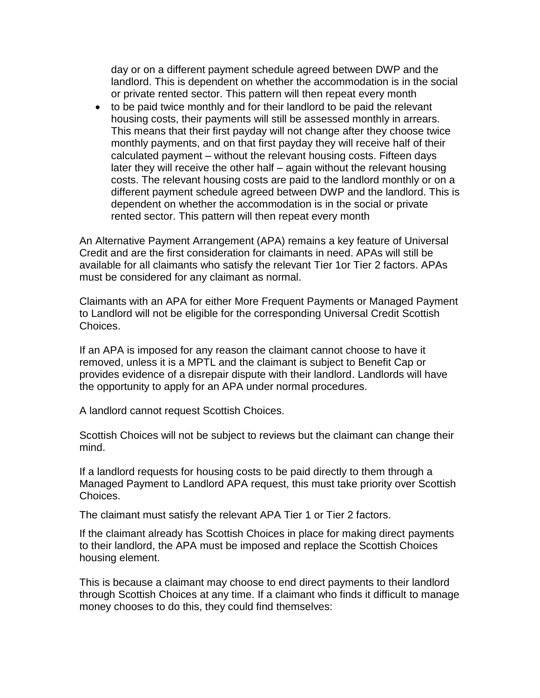day or on a different payment schedule agreed between DWP and the landlord. This is dependent on whether the accommodation is in the social or private rented sector. This pattern will then repeat every month

 to be paid twice monthly and for their landlord to be paid the relevant housing costs, their payments will still be assessed monthly in arrears. This means that their first payday will not change after they choose twice monthly payments, and on that first payday they will receive half of their calculated payment – without the relevant housing costs. Fifteen days later they will receive the other half – again without the relevant housing costs. The relevant housing costs are paid to the landlord monthly or on a different payment schedule agreed between DWP and the landlord. This is dependent on whether the accommodation is in the social or private rented sector. This pattern will then repeat every month

An Alternative Payment Arrangement (APA) remains a key feature of Universal Credit and are the first consideration for claimants in need. APAs will still be available for all claimants who satisfy the relevant Tier 1or Tier 2 factors. APAs must be considered for any claimant as normal.

Claimants with an APA for either More Frequent Payments or Managed Payment to Landlord will not be eligible for the corresponding Universal Credit Scottish Choices.

If an APA is imposed for any reason the claimant cannot choose to have it removed, unless it is a MPTL and the claimant is subject to Benefit Cap or provides evidence of a disrepair dispute with their landlord. Landlords will have the opportunity to apply for an APA under normal procedures.

A landlord cannot request Scottish Choices.

Scottish Choices will not be subject to reviews but the claimant can change their mind.

If a landlord requests for housing costs to be paid directly to them through a Managed Payment to Landlord APA request, this must take priority over Scottish Choices.

The claimant must satisfy the relevant APA [Tier 1 or Tier 2 factors.](https://intranet.dwp.gov.uk/policy/tier-one-and-tier-two-factors-consider-alternative-payment-arrangements)

If the claimant already has Scottish Choices in place for making direct payments to their landlord, the APA must be imposed and replace the Scottish Choices housing element.

This is because a claimant may choose to end direct payments to their landlord through Scottish Choices at any time. If a claimant who finds it difficult to manage money chooses to do this, they could find themselves: